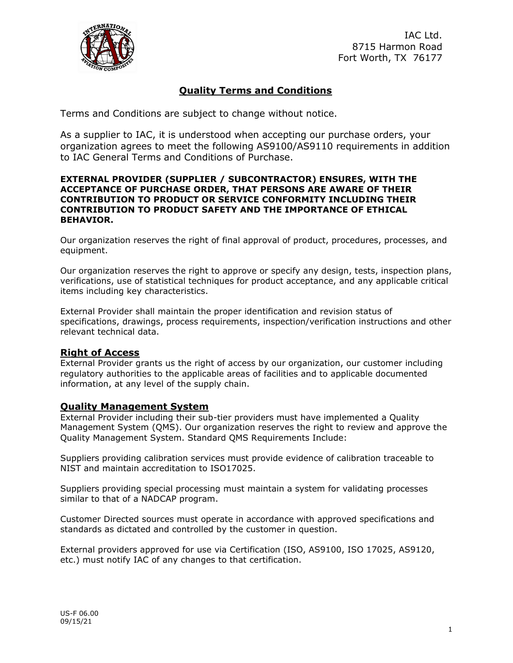

IAC Ltd. 8715 Harmon Road Fort Worth, TX 76177

# **Quality Terms and Conditions**

Terms and Conditions are subject to change without notice.

As a supplier to IAC, it is understood when accepting our purchase orders, your organization agrees to meet the following AS9100/AS9110 requirements in addition to IAC General Terms and Conditions of Purchase.

### **EXTERNAL PROVIDER (SUPPLIER / SUBCONTRACTOR) ENSURES, WITH THE ACCEPTANCE OF PURCHASE ORDER, THAT PERSONS ARE AWARE OF THEIR CONTRIBUTION TO PRODUCT OR SERVICE CONFORMITY INCLUDING THEIR CONTRIBUTION TO PRODUCT SAFETY AND THE IMPORTANCE OF ETHICAL BEHAVIOR.**

Our organization reserves the right of final approval of product, procedures, processes, and equipment.

Our organization reserves the right to approve or specify any design, tests, inspection plans, verifications, use of statistical techniques for product acceptance, and any applicable critical items including key characteristics.

External Provider shall maintain the proper identification and revision status of specifications, drawings, process requirements, inspection/verification instructions and other relevant technical data.

# **Right of Access**

External Provider grants us the right of access by our organization, our customer including regulatory authorities to the applicable areas of facilities and to applicable documented information, at any level of the supply chain.

# **Quality Management System**

External Provider including their sub-tier providers must have implemented a Quality Management System (QMS). Our organization reserves the right to review and approve the Quality Management System. Standard QMS Requirements Include:

Suppliers providing calibration services must provide evidence of calibration traceable to NIST and maintain accreditation to ISO17025.

Suppliers providing special processing must maintain a system for validating processes similar to that of a NADCAP program.

Customer Directed sources must operate in accordance with approved specifications and standards as dictated and controlled by the customer in question.

External providers approved for use via Certification (ISO, AS9100, ISO 17025, AS9120, etc.) must notify IAC of any changes to that certification.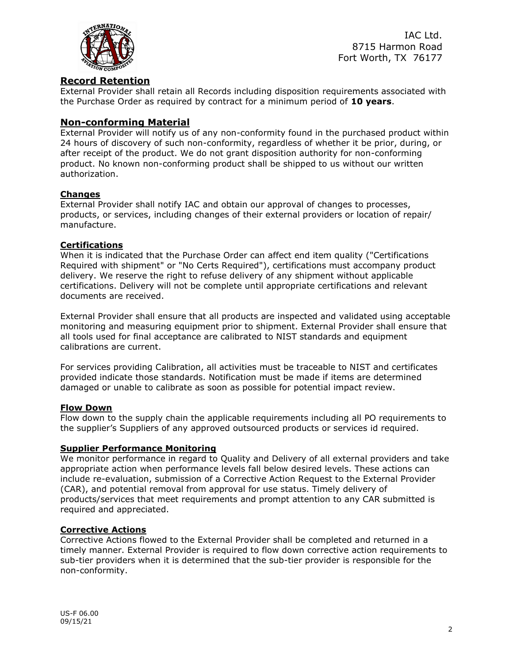

IAC Ltd. 8715 Harmon Road Fort Worth, TX 76177

# **Record Retention**

External Provider shall retain all Records including disposition requirements associated with the Purchase Order as required by contract for a minimum period of **10 years**.

### **Non-conforming Material**

External Provider will notify us of any non-conformity found in the purchased product within 24 hours of discovery of such non-conformity, regardless of whether it be prior, during, or after receipt of the product. We do not grant disposition authority for non-conforming product. No known non-conforming product shall be shipped to us without our written authorization.

### **Changes**

External Provider shall notify IAC and obtain our approval of changes to processes, products, or services, including changes of their external providers or location of repair/ manufacture.

#### **Certifications**

When it is indicated that the Purchase Order can affect end item quality ("Certifications Required with shipment" or "No Certs Required"), certifications must accompany product delivery. We reserve the right to refuse delivery of any shipment without applicable certifications. Delivery will not be complete until appropriate certifications and relevant documents are received.

External Provider shall ensure that all products are inspected and validated using acceptable monitoring and measuring equipment prior to shipment. External Provider shall ensure that all tools used for final acceptance are calibrated to NIST standards and equipment calibrations are current.

For services providing Calibration, all activities must be traceable to NIST and certificates provided indicate those standards. Notification must be made if items are determined damaged or unable to calibrate as soon as possible for potential impact review.

### **Flow Down**

Flow down to the supply chain the applicable requirements including all PO requirements to the supplier's Suppliers of any approved outsourced products or services id required.

#### **Supplier Performance Monitoring**

We monitor performance in regard to Quality and Delivery of all external providers and take appropriate action when performance levels fall below desired levels. These actions can include re-evaluation, submission of a Corrective Action Request to the External Provider (CAR), and potential removal from approval for use status. Timely delivery of products/services that meet requirements and prompt attention to any CAR submitted is required and appreciated.

#### **Corrective Actions**

Corrective Actions flowed to the External Provider shall be completed and returned in a timely manner. External Provider is required to flow down corrective action requirements to sub-tier providers when it is determined that the sub-tier provider is responsible for the non-conformity.